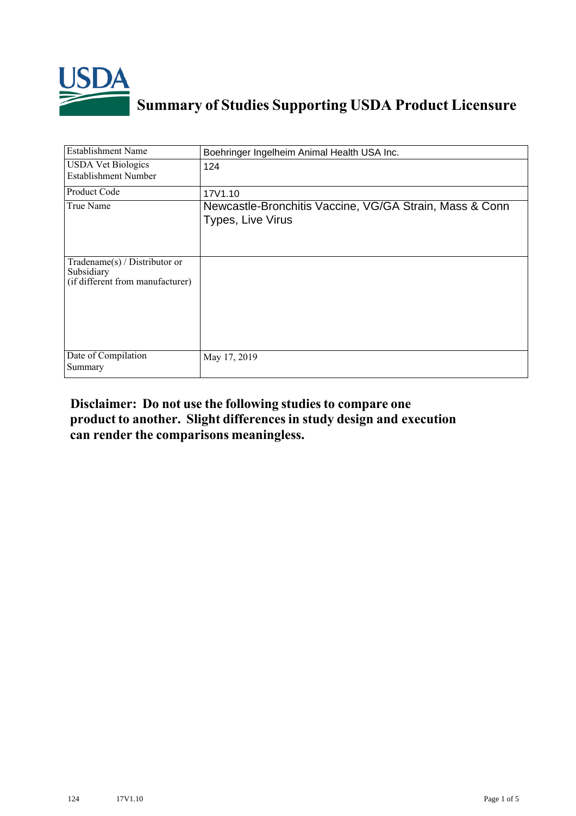

## **Summary of Studies Supporting USDA Product Licensure**

| <b>Establishment Name</b>                                                          | Boehringer Ingelheim Animal Health USA Inc.                                  |
|------------------------------------------------------------------------------------|------------------------------------------------------------------------------|
| <b>USDA Vet Biologics</b><br><b>Establishment Number</b>                           | 124                                                                          |
| Product Code                                                                       | 17V1.10                                                                      |
| True Name                                                                          | Newcastle-Bronchitis Vaccine, VG/GA Strain, Mass & Conn<br>Types, Live Virus |
| Tradename $(s)$ / Distributor or<br>Subsidiary<br>(if different from manufacturer) |                                                                              |
| Date of Compilation<br>Summary                                                     | May 17, 2019                                                                 |

## **Disclaimer: Do not use the following studiesto compare one product to another. Slight differencesin study design and execution can render the comparisons meaningless.**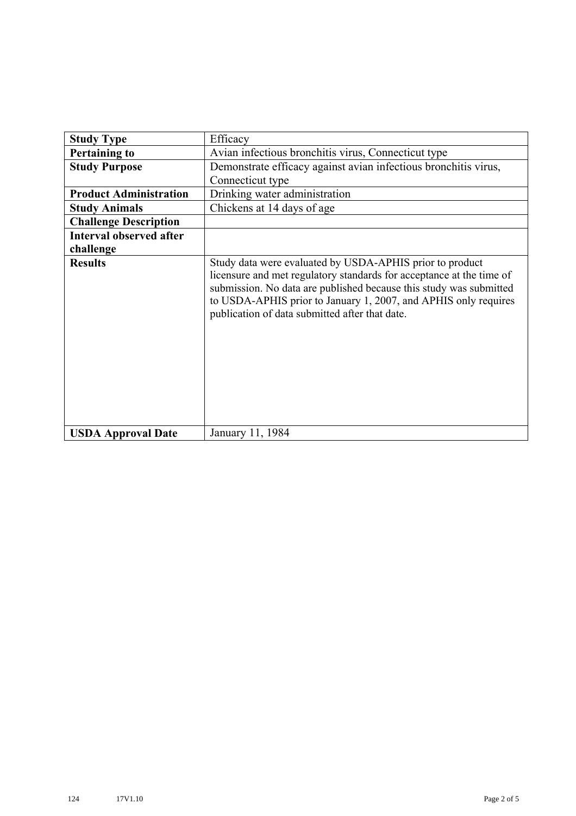| <b>Study Type</b>              | Efficacy                                                                                                                                                                                                                                                                                                                    |
|--------------------------------|-----------------------------------------------------------------------------------------------------------------------------------------------------------------------------------------------------------------------------------------------------------------------------------------------------------------------------|
| <b>Pertaining to</b>           | Avian infectious bronchitis virus, Connecticut type                                                                                                                                                                                                                                                                         |
| <b>Study Purpose</b>           | Demonstrate efficacy against avian infectious bronchitis virus,                                                                                                                                                                                                                                                             |
|                                | Connecticut type                                                                                                                                                                                                                                                                                                            |
| <b>Product Administration</b>  | Drinking water administration                                                                                                                                                                                                                                                                                               |
| <b>Study Animals</b>           | Chickens at 14 days of age                                                                                                                                                                                                                                                                                                  |
| <b>Challenge Description</b>   |                                                                                                                                                                                                                                                                                                                             |
| <b>Interval observed after</b> |                                                                                                                                                                                                                                                                                                                             |
| challenge                      |                                                                                                                                                                                                                                                                                                                             |
| <b>Results</b>                 | Study data were evaluated by USDA-APHIS prior to product<br>licensure and met regulatory standards for acceptance at the time of<br>submission. No data are published because this study was submitted<br>to USDA-APHIS prior to January 1, 2007, and APHIS only requires<br>publication of data submitted after that date. |
| <b>USDA Approval Date</b>      | January 11, 1984                                                                                                                                                                                                                                                                                                            |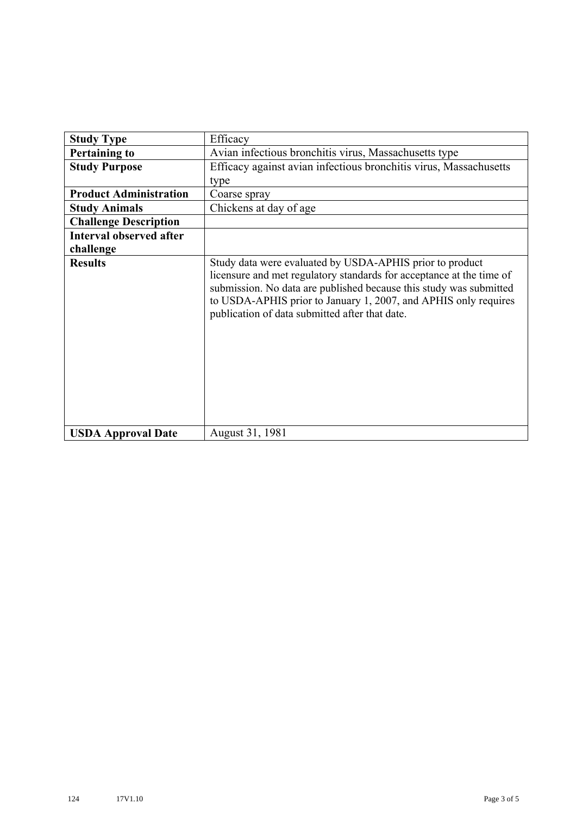| <b>Study Type</b>              | Efficacy                                                                                                                                                                                                                                                                                                                    |
|--------------------------------|-----------------------------------------------------------------------------------------------------------------------------------------------------------------------------------------------------------------------------------------------------------------------------------------------------------------------------|
| <b>Pertaining to</b>           | Avian infectious bronchitis virus, Massachusetts type                                                                                                                                                                                                                                                                       |
| <b>Study Purpose</b>           | Efficacy against avian infectious bronchitis virus, Massachusetts                                                                                                                                                                                                                                                           |
|                                | type                                                                                                                                                                                                                                                                                                                        |
| <b>Product Administration</b>  | Coarse spray                                                                                                                                                                                                                                                                                                                |
| <b>Study Animals</b>           | Chickens at day of age                                                                                                                                                                                                                                                                                                      |
| <b>Challenge Description</b>   |                                                                                                                                                                                                                                                                                                                             |
| <b>Interval observed after</b> |                                                                                                                                                                                                                                                                                                                             |
| challenge                      |                                                                                                                                                                                                                                                                                                                             |
| <b>Results</b>                 | Study data were evaluated by USDA-APHIS prior to product<br>licensure and met regulatory standards for acceptance at the time of<br>submission. No data are published because this study was submitted<br>to USDA-APHIS prior to January 1, 2007, and APHIS only requires<br>publication of data submitted after that date. |
| <b>USDA Approval Date</b>      | August 31, 1981                                                                                                                                                                                                                                                                                                             |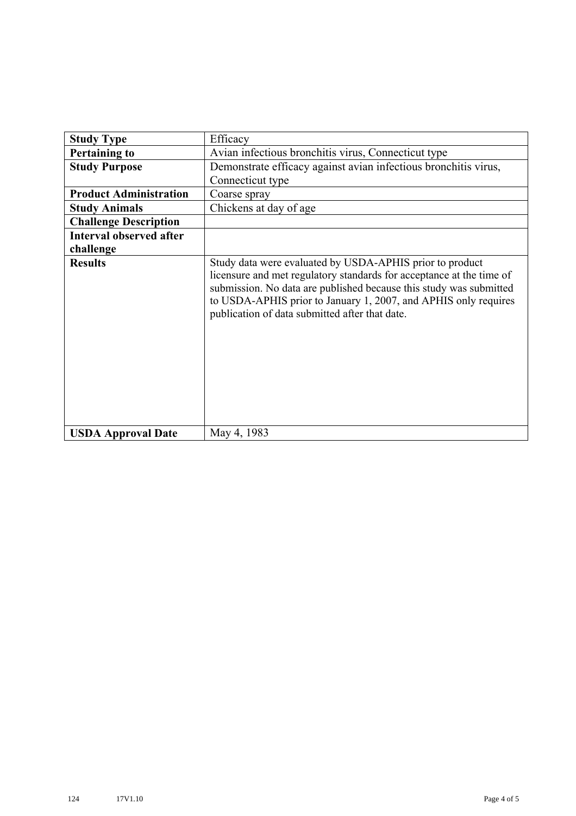| <b>Study Type</b>              | Efficacy                                                                                                                                                                                                                                                                                                                    |
|--------------------------------|-----------------------------------------------------------------------------------------------------------------------------------------------------------------------------------------------------------------------------------------------------------------------------------------------------------------------------|
| <b>Pertaining to</b>           | Avian infectious bronchitis virus, Connecticut type                                                                                                                                                                                                                                                                         |
| <b>Study Purpose</b>           | Demonstrate efficacy against avian infectious bronchitis virus,                                                                                                                                                                                                                                                             |
|                                | Connecticut type                                                                                                                                                                                                                                                                                                            |
| <b>Product Administration</b>  | Coarse spray                                                                                                                                                                                                                                                                                                                |
| <b>Study Animals</b>           | Chickens at day of age                                                                                                                                                                                                                                                                                                      |
| <b>Challenge Description</b>   |                                                                                                                                                                                                                                                                                                                             |
| <b>Interval observed after</b> |                                                                                                                                                                                                                                                                                                                             |
| challenge                      |                                                                                                                                                                                                                                                                                                                             |
| <b>Results</b>                 | Study data were evaluated by USDA-APHIS prior to product<br>licensure and met regulatory standards for acceptance at the time of<br>submission. No data are published because this study was submitted<br>to USDA-APHIS prior to January 1, 2007, and APHIS only requires<br>publication of data submitted after that date. |
| <b>USDA Approval Date</b>      | May 4, 1983                                                                                                                                                                                                                                                                                                                 |